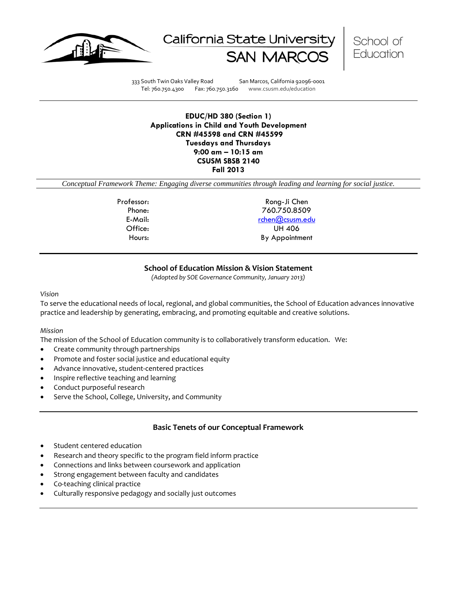





333 South Twin Oaks Valley Road San Marcos, California 92096-0001 Tel: 760.750.4300 Fax: 760.750.3160 www.csusm.edu/education

**EDUC/HD 380 (Section 1) Applications in Child and Youth Development CRN #45598 and CRN #45599 Tuesdays and Thursdays 9:00 am – 10:15 am CSUSM SBSB 2140 Fall 2013**

*Conceptual Framework Theme: Engaging diverse communities through leading and learning for social justice.*

Professor: Rong-Ji Chen Phone: 760.750.8509 E-Mail: [rchen@csusm.edu](mailto:rchen@csusm.edu) Office: UH 406 Hours: By Appointment

## **School of Education Mission & Vision Statement**

*(Adopted by SOE Governance Community, January 2013)*

#### *Vision*

To serve the educational needs of local, regional, and global communities, the School of Education advances innovative practice and leadership by generating, embracing, and promoting equitable and creative solutions.

#### *Mission*

The mission of the School of Education community is to collaboratively transform education. We:

- Create community through partnerships
- Promote and foster social justice and educational equity
- Advance innovative, student-centered practices
- Inspire reflective teaching and learning
- Conduct purposeful research
- Serve the School, College, University, and Community

## **Basic Tenets of our Conceptual Framework**

- Student centered education
- Research and theory specific to the program field inform practice
- Connections and links between coursework and application
- Strong engagement between faculty and candidates
- Co-teaching clinical practice
- Culturally responsive pedagogy and socially just outcomes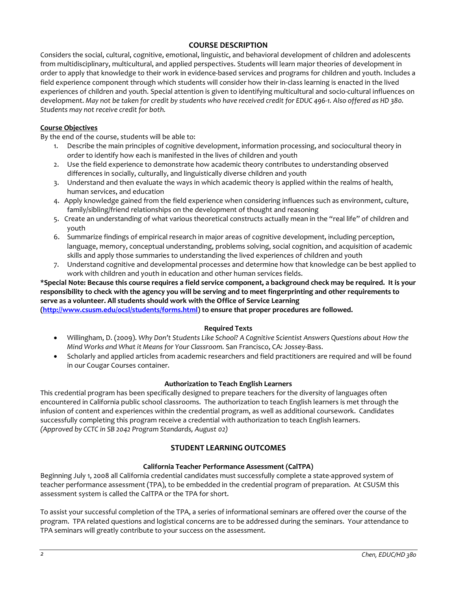## **COURSE DESCRIPTION**

Considers the social, cultural, cognitive, emotional, linguistic, and behavioral development of children and adolescents from multidisciplinary, multicultural, and applied perspectives. Students will learn major theories of development in order to apply that knowledge to their work in evidence-based services and programs for children and youth. Includes a field experience component through which students will consider how their in-class learning is enacted in the lived experiences of children and youth. Special attention is given to identifying multicultural and socio-cultural influences on development. *May not be taken for credit by students who have received credit for EDUC 496-1. Also offered as HD 380. Students may not receive credit for both.*

## **Course Objectives**

By the end of the course, students will be able to:

- 1. Describe the main principles of cognitive development, information processing, and sociocultural theory in order to identify how each is manifested in the lives of children and youth
- 2. Use the field experience to demonstrate how academic theory contributes to understanding observed differences in socially, culturally, and linguistically diverse children and youth
- 3. Understand and then evaluate the ways in which academic theory is applied within the realms of health, human services, and education
- 4. Apply knowledge gained from the field experience when considering influences such as environment, culture, family/sibling/friend relationships on the development of thought and reasoning
- 5. Create an understanding of what various theoretical constructs actually mean in the "real life" of children and youth
- 6. Summarize findings of empirical research in major areas of cognitive development, including perception, language, memory, conceptual understanding, problems solving, social cognition, and acquisition of academic skills and apply those summaries to understanding the lived experiences of children and youth
- 7. Understand cognitive and developmental processes and determine how that knowledge can be best applied to work with children and youth in education and other human services fields.

# **\*Special Note: Because this course requires a field service component, a background check may be required. It is your responsibility to check with the agency you will be serving and to meet fingerprinting and other requirements to serve as a volunteer. All students should work with the Office of Service Learning**

**[\(http://www.csusm.edu/ocsl/students/forms.html\)](http://www.csusm.edu/ocsl/students/forms.html) to ensure that proper procedures are followed.**

## **Required Texts**

- Willingham, D. (2009). *Why Don't Students Like School? A Cognitive Scientist Answers Questions about How the Mind Works and What it Means for Your Classroom.* San Francisco, CA: Jossey-Bass.
- Scholarly and applied articles from academic researchers and field practitioners are required and will be found in our Cougar Courses container.

## **Authorization to Teach English Learners**

This credential program has been specifically designed to prepare teachers for the diversity of languages often encountered in California public school classrooms. The authorization to teach English learners is met through the infusion of content and experiences within the credential program, as well as additional coursework. Candidates successfully completing this program receive a credential with authorization to teach English learners. *(Approved by CCTC in SB 2042 Program Standards, August 02)*

## **STUDENT LEARNING OUTCOMES**

#### **California Teacher Performance Assessment (CalTPA)**

Beginning July 1, 2008 all California credential candidates must successfully complete a state-approved system of teacher performance assessment (TPA), to be embedded in the credential program of preparation. At CSUSM this assessment system is called the CalTPA or the TPA for short.

To assist your successful completion of the TPA, a series of informational seminars are offered over the course of the program. TPA related questions and logistical concerns are to be addressed during the seminars. Your attendance to TPA seminars will greatly contribute to your success on the assessment.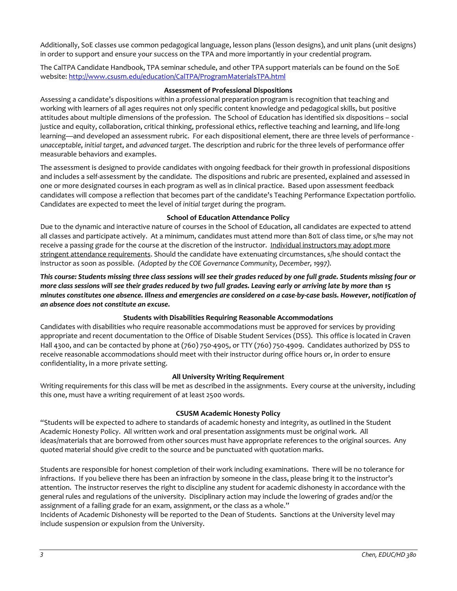Additionally, SoE classes use common pedagogical language, lesson plans (lesson designs), and unit plans (unit designs) in order to support and ensure your success on the TPA and more importantly in your credential program.

The CalTPA Candidate Handbook, TPA seminar schedule, and other TPA support materials can be found on the SoE website: <http://www.csusm.edu/education/CalTPA/ProgramMaterialsTPA.html>

## **Assessment of Professional Dispositions**

Assessing a candidate's dispositions within a professional preparation program is recognition that teaching and working with learners of all ages requires not only specific content knowledge and pedagogical skills, but positive attitudes about multiple dimensions of the profession. The School of Education has identified six dispositions – social justice and equity, collaboration, critical thinking, professional ethics, reflective teaching and learning, and life-long learning—and developed an assessment rubric. For each dispositional element, there are three levels of performance *unacceptable*, *initial target*, and *advanced target*. The description and rubric for the three levels of performance offer measurable behaviors and examples.

The assessment is designed to provide candidates with ongoing feedback for their growth in professional dispositions and includes a self-assessment by the candidate. The dispositions and rubric are presented, explained and assessed in one or more designated courses in each program as well as in clinical practice. Based upon assessment feedback candidates will compose a reflection that becomes part of the candidate's Teaching Performance Expectation portfolio. Candidates are expected to meet the level of *initial target* during the program.

## **School of Education Attendance Policy**

Due to the dynamic and interactive nature of courses in the School of Education, all candidates are expected to attend all classes and participate actively. At a minimum, candidates must attend more than 80% of class time, or s/he may not receive a passing grade for the course at the discretion of the instructor. Individual instructors may adopt more stringent attendance requirements. Should the candidate have extenuating circumstances, s/he should contact the instructor as soon as possible. *(Adopted by the COE Governance Community, December, 1997).*

*This course: Students missing three class sessions will see their grades reduced by one full grade. Students missing four or more class sessions will see their grades reduced by two full grades. Leaving early or arriving late by more than 15 minutes constitutes one absence. Illness and emergencies are considered on a case-by-case basis. However, notification of an absence does not constitute an excuse.* 

## **Students with Disabilities Requiring Reasonable Accommodations**

Candidates with disabilities who require reasonable accommodations must be approved for services by providing appropriate and recent documentation to the Office of Disable Student Services (DSS). This office is located in Craven Hall 4300, and can be contacted by phone at (760) 750-4905, or TTY (760) 750-4909. Candidates authorized by DSS to receive reasonable accommodations should meet with their instructor during office hours or, in order to ensure confidentiality, in a more private setting.

## **All University Writing Requirement**

Writing requirements for this class will be met as described in the assignments. Every course at the university, including this one, must have a writing requirement of at least 2500 words.

#### **CSUSM Academic Honesty Policy**

"Students will be expected to adhere to standards of academic honesty and integrity, as outlined in the Student Academic Honesty Policy. All written work and oral presentation assignments must be original work. All ideas/materials that are borrowed from other sources must have appropriate references to the original sources. Any quoted material should give credit to the source and be punctuated with quotation marks.

Students are responsible for honest completion of their work including examinations. There will be no tolerance for infractions. If you believe there has been an infraction by someone in the class, please bring it to the instructor's attention. The instructor reserves the right to discipline any student for academic dishonesty in accordance with the general rules and regulations of the university. Disciplinary action may include the lowering of grades and/or the assignment of a failing grade for an exam, assignment, or the class as a whole."

Incidents of Academic Dishonesty will be reported to the Dean of Students. Sanctions at the University level may include suspension or expulsion from the University.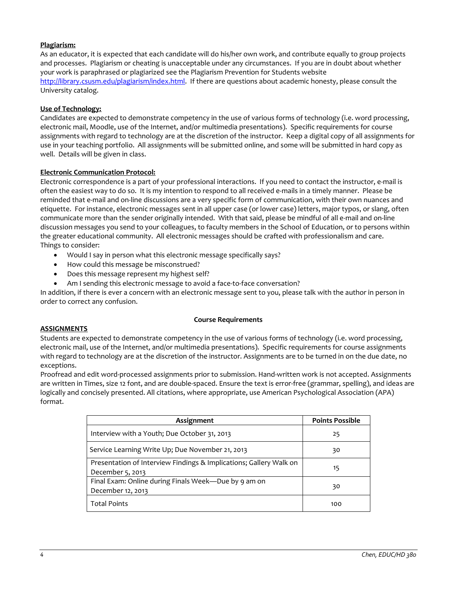## **Plagiarism:**

As an educator, it is expected that each candidate will do his/her own work, and contribute equally to group projects and processes. Plagiarism or cheating is unacceptable under any circumstances. If you are in doubt about whether your work is paraphrased or plagiarized see the Plagiarism Prevention for Students website [http://library.csusm.edu/plagiarism/index.html.](http://library.csusm.edu/plagiarism/index.html) If there are questions about academic honesty, please consult the University catalog.

## **Use of Technology:**

Candidates are expected to demonstrate competency in the use of various forms of technology (i.e. word processing, electronic mail, Moodle, use of the Internet, and/or multimedia presentations). Specific requirements for course assignments with regard to technology are at the discretion of the instructor. Keep a digital copy of all assignments for use in your teaching portfolio. All assignments will be submitted online, and some will be submitted in hard copy as well. Details will be given in class.

## **Electronic Communication Protocol:**

Electronic correspondence is a part of your professional interactions. If you need to contact the instructor, e-mail is often the easiest way to do so. It is my intention to respond to all received e-mails in a timely manner. Please be reminded that e-mail and on-line discussions are a very specific form of communication, with their own nuances and etiquette. For instance, electronic messages sent in all upper case (or lower case) letters, major typos, or slang, often communicate more than the sender originally intended. With that said, please be mindful of all e-mail and on-line discussion messages you send to your colleagues, to faculty members in the School of Education, or to persons within the greater educational community. All electronic messages should be crafted with professionalism and care. Things to consider:

- Would I say in person what this electronic message specifically says?
- How could this message be misconstrued?
- Does this message represent my highest self?
- Am I sending this electronic message to avoid a face-to-face conversation?

In addition, if there is ever a concern with an electronic message sent to you, please talk with the author in person in order to correct any confusion.

#### **Course Requirements**

#### **ASSIGNMENTS**

Students are expected to demonstrate competency in the use of various forms of technology (i.e. word processing, electronic mail, use of the Internet, and/or multimedia presentations). Specific requirements for course assignments with regard to technology are at the discretion of the instructor. Assignments are to be turned in on the due date, no exceptions.

Proofread and edit word-processed assignments prior to submission. Hand-written work is not accepted. Assignments are written in Times, size 12 font, and are double-spaced. Ensure the text is error-free (grammar, spelling), and ideas are logically and concisely presented. All citations, where appropriate, use American Psychological Association (APA) format.

| Assignment                                                                             | <b>Points Possible</b> |
|----------------------------------------------------------------------------------------|------------------------|
| Interview with a Youth; Due October 31, 2013                                           | 25                     |
| Service Learning Write Up; Due November 21, 2013                                       | 30                     |
| Presentation of Interview Findings & Implications; Gallery Walk on<br>December 5, 2013 | 15                     |
| Final Exam: Online during Finals Week-Due by 9 am on<br>December 12, 2013              | 30                     |
| <b>Total Points</b>                                                                    | 100                    |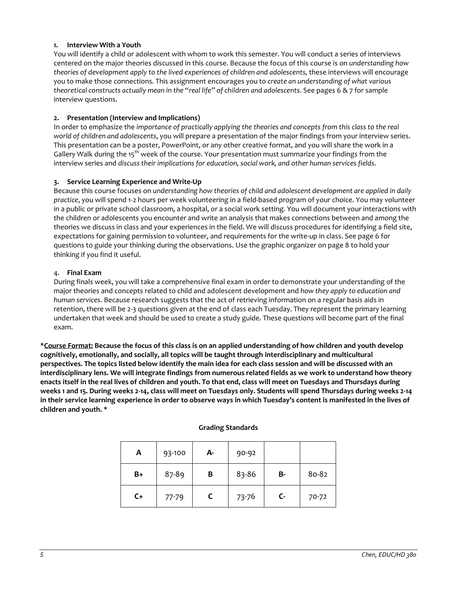## **1. Interview With a Youth**

You will identify a child or adolescent with whom to work this semester. You will conduct a series of interviews centered on the major theories discussed in this course. Because the focus of this course is on *understanding how theories of development apply to the lived experiences of children and adolescents,* these interviews will encourage you to make those connections*.* This assignment encourages you to *create an understanding of what various theoretical constructs actually mean in the "real life" of children and adolescents*. See pages 6 & 7 for sample interview questions.

## **2. Presentation (Interview and Implications)**

In order to emphasize the *importance of practically applying the theories and concepts from this class to the real world of children and adolescents*, you will prepare a presentation of the major findings from your interview series. This presentation can be a poster, PowerPoint, or any other creative format, and you will share the work in a Gallery Walk during the 15<sup>th</sup> week of the course. Your presentation must summarize your findings from the interview series and *discuss their implications for education, social work, and other human services fields*.

## **3. Service Learning Experience and Write-Up**

Because this course focuses on *understanding how theories of child and adolescent development are applied in daily practice*, you will spend 1-2 hours per week volunteering in a field-based program of your choice. You may volunteer in a public or private school classroom, a hospital, or a social work setting. You will document your interactions with the children or adolescents you encounter and write an analysis that makes connections between and among the theories we discuss in class and your experiences in the field. We will discuss procedures for identifying a field site, expectations for gaining permission to volunteer, and requirements for the write-up in class. See page 6 for questions to guide your thinking during the observations. Use the graphic organizer on page 8 to hold your thinking if you find it useful.

## 4. **Final Exam**

During finals week, you will take a comprehensive final exam in order to demonstrate your understanding of the major theories and concepts related to child and adolescent development and *how they apply to education and human services*. Because research suggests that the act of retrieving information on a regular basis aids in retention, there will be 2-3 questions given at the end of class each Tuesday. They represent the primary learning undertaken that week and should be used to create a study guide. These questions will become part of the final exam.

**\*Course Format: Because the focus of this class is on an applied understanding of how children and youth develop cognitively, emotionally, and socially, all topics will be taught through interdisciplinary and multicultural perspectives. The topics listed below identify the main idea for each class session and will be discussed with an interdisciplinary lens. We will integrate findings from numerous related fields as we work to understand how theory enacts itself in the real lives of children and youth. To that end, class will meet on Tuesdays and Thursdays during weeks 1 and 15. During weeks 2-14, class will meet on Tuesdays only. Students will spend Thursdays during weeks 2-14 in their service learning experience in order to observe ways in which Tuesday's content is manifested in the lives of children and youth. \***

#### **Grading Standards**

| A  | 93-100    | А- | 90-92 |              |       |
|----|-----------|----|-------|--------------|-------|
| B+ | 87-89     | В  | 83-86 | В-           | 80-82 |
| C+ | $77 - 79$ |    | 73-76 | $\mathsf{C}$ | 70-72 |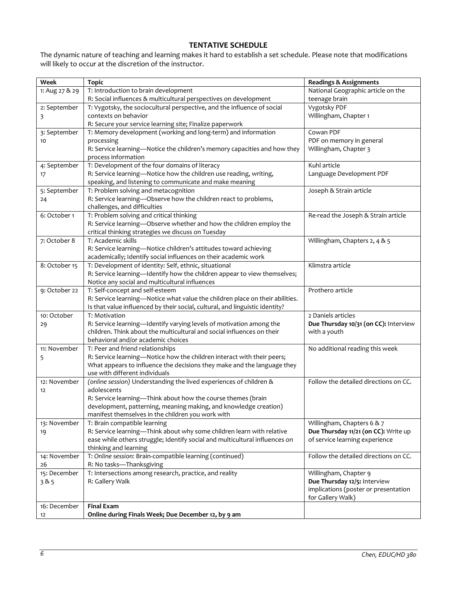## **TENTATIVE SCHEDULE**

The dynamic nature of teaching and learning makes it hard to establish a set schedule. Please note that modifications will likely to occur at the discretion of the instructor.

| Week           | <b>Topic</b>                                                                 | <b>Readings &amp; Assignments</b>                                    |
|----------------|------------------------------------------------------------------------------|----------------------------------------------------------------------|
| 1: Aug 27 & 29 | T: Introduction to brain development                                         | National Geographic article on the                                   |
|                | R: Social influences & multicultural perspectives on development             | teenage brain                                                        |
| 2: September   | T: Vygotsky, the sociocultural perspective, and the influence of social      | Vygotsky PDF                                                         |
| 3              | contexts on behavior                                                         | Willingham, Chapter 1                                                |
|                | R: Secure your service learning site; Finalize paperwork                     |                                                                      |
| 3: September   | T: Memory development (working and long-term) and information                | Cowan PDF                                                            |
| 10             | processing                                                                   | PDF on memory in general                                             |
|                | R: Service learning-Notice the children's memory capacities and how they     | Willingham, Chapter 3                                                |
|                | process information                                                          |                                                                      |
| 4: September   | T: Development of the four domains of literacy                               | Kuhl article                                                         |
| 17             | R: Service learning-Notice how the children use reading, writing,            | Language Development PDF                                             |
|                | speaking, and listening to communicate and make meaning                      |                                                                      |
| 5: September   | T: Problem solving and metacognition                                         | Joseph & Strain article                                              |
| 24             | R: Service learning-Observe how the children react to problems,              |                                                                      |
|                | challenges, and difficulties                                                 |                                                                      |
| 6: October 1   | T: Problem solving and critical thinking                                     | Re-read the Joseph & Strain article                                  |
|                | R: Service learning-Observe whether and how the children employ the          |                                                                      |
|                | critical thinking strategies we discuss on Tuesday                           |                                                                      |
| 7: October 8   | T: Academic skills                                                           | Willingham, Chapters 2, 4 & 5                                        |
|                | R: Service learning-Notice children's attitudes toward achieving             |                                                                      |
|                | academically; Identify social influences on their academic work              |                                                                      |
| 8: October 15  | T: Development of identity: Self, ethnic, situational                        | Klimstra article                                                     |
|                | R: Service learning-Identify how the children appear to view themselves;     |                                                                      |
|                | Notice any social and multicultural influences                               |                                                                      |
| 9: October 22  | T: Self-concept and self-esteem                                              | Prothero article                                                     |
|                | R: Service learning-Notice what value the children place on their abilities. |                                                                      |
|                | Is that value influenced by their social, cultural, and linguistic identity? |                                                                      |
| 10: October    | T: Motivation                                                                | 2 Daniels articles                                                   |
| 29             | R: Service learning-Identify varying levels of motivation among the          | Due Thursday 10/31 (on CC): Interview                                |
|                | children. Think about the multicultural and social influences on their       | with a youth                                                         |
|                | behavioral and/or academic choices                                           |                                                                      |
| 11: November   | T: Peer and friend relationships                                             | No additional reading this week                                      |
| 5              | R: Service learning-Notice how the children interact with their peers;       |                                                                      |
|                | What appears to influence the decisions they make and the language they      |                                                                      |
|                | use with different individuals                                               |                                                                      |
| 12: November   | (online session) Understanding the lived experiences of children &           | Follow the detailed directions on CC.                                |
| 12             | adolescents                                                                  |                                                                      |
|                | R: Service learning-Think about how the course themes (brain                 |                                                                      |
|                | development, patterning, meaning making, and knowledge creation)             |                                                                      |
|                | manifest themselves in the children you work with                            |                                                                      |
| 13: November   | T: Brain compatible learning                                                 | Willingham, Chapters 6 & 7                                           |
| 19             | R: Service learning-Think about why some children learn with relative        | Due Thursday 11/21 (on CC): Write up                                 |
|                | ease while others struggle; Identify social and multicultural influences on  | of service learning experience                                       |
|                | thinking and learning                                                        |                                                                      |
| 14: November   | T: Online session: Brain-compatible learning (continued)                     | Follow the detailed directions on CC.                                |
| 26             | R: No tasks-Thanksgiving                                                     |                                                                      |
| 15: December   | T: Intersections among research, practice, and reality                       | Willingham, Chapter 9                                                |
| 385            | R: Gallery Walk                                                              | Due Thursday 12/5: Interview<br>implications (poster or presentation |
|                |                                                                              | for Gallery Walk)                                                    |
| 16: December   | <b>Final Exam</b>                                                            |                                                                      |
| 12             | Online during Finals Week; Due December 12, by 9 am                          |                                                                      |
|                |                                                                              |                                                                      |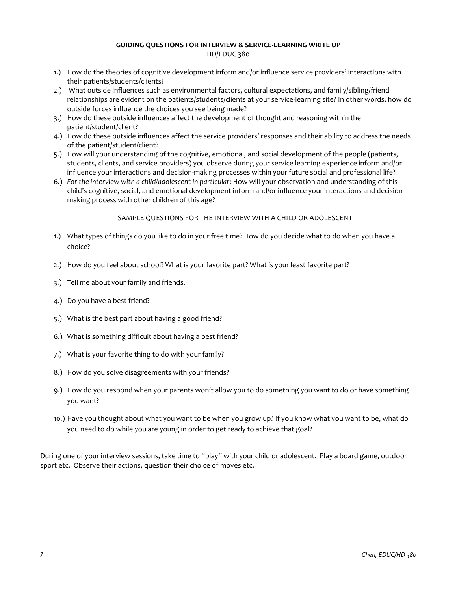## **GUIDING QUESTIONS FOR INTERVIEW & SERVICE-LEARNING WRITE UP**

HD/EDUC 380

- 1.) How do the theories of cognitive development inform and/or influence service providers' interactions with their patients/students/clients?
- 2.) What outside influences such as environmental factors, cultural expectations, and family/sibling/friend relationships are evident on the patients/students/clients at your service-learning site? In other words, how do outside forces influence the choices you see being made?
- 3.) How do these outside influences affect the development of thought and reasoning within the patient/student/client?
- 4.) How do these outside influences affect the service providers' responses and their ability to address the needs of the patient/student/client?
- 5.) How will your understanding of the cognitive, emotional, and social development of the people (patients, students, clients, and service providers) you observe during your service learning experience inform and/or influence your interactions and decision-making processes within your future social and professional life?
- 6.) *For the interview with a child/adolescent in particular*: How will your observation and understanding of this child's cognitive, social, and emotional development inform and/or influence your interactions and decisionmaking process with other children of this age?

## SAMPLE QUESTIONS FOR THE INTERVIEW WITH A CHILD OR ADOLESCENT

- 1.) What types of things do you like to do in your free time? How do you decide what to do when you have a choice?
- 2.) How do you feel about school? What is your favorite part? What is your least favorite part?
- 3.) Tell me about your family and friends.
- 4.) Do you have a best friend?
- 5.) What is the best part about having a good friend?
- 6.) What is something difficult about having a best friend?
- 7.) What is your favorite thing to do with your family?
- 8.) How do you solve disagreements with your friends?
- 9.) How do you respond when your parents won't allow you to do something you want to do or have something you want?
- 10.) Have you thought about what you want to be when you grow up? If you know what you want to be, what do you need to do while you are young in order to get ready to achieve that goal?

During one of your interview sessions, take time to "play" with your child or adolescent. Play a board game, outdoor sport etc. Observe their actions, question their choice of moves etc.